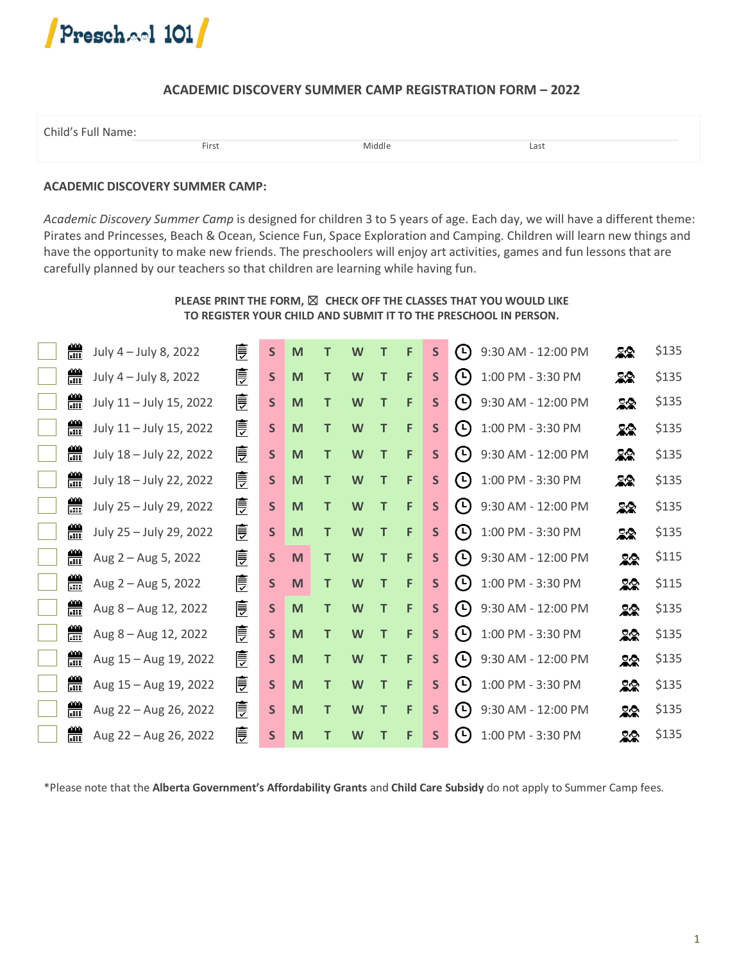

# **ACADEMIC DISCOVERY SUMMER CAMP REGISTRATION FORM – 2022**

| Child's Full Name: |       |        |      |  |
|--------------------|-------|--------|------|--|
|                    | First | Middle | Last |  |

# **ACADEMIC DISCOVERY SUMMER CAMP:**

*Academic Discovery Summer Camp* is designed for children 3 to 5 years of age. Each day, we will have a different theme: Pirates and Princesses, Beach & Ocean, Science Fun, Space Exploration and Camping. Children will learn new things and have the opportunity to make new friends. The preschoolers will enjoy art activities, games and fun lessons that are carefully planned by our teachers so that children are learning while having fun.

# **PLEASE PRINT THE FORM,** ☒ **CHECK OFF THE CLASSES THAT YOU WOULD LIKE TO REGISTER YOUR CHILD AND SUBMIT IT TO THE PRESCHOOL IN PERSON.**

| 鱛 | July 4 - July 8, 2022   | 圓 | $\mathsf{S}$ | M |   | W | т            | F | $\mathsf{S}$ | $(\cup)$              | 9:30 AM - 12:00 PM | 22 | \$135 |
|---|-------------------------|---|--------------|---|---|---|--------------|---|--------------|-----------------------|--------------------|----|-------|
| 兽 | July 4 - July 8, 2022   | ئ | $\mathsf{S}$ | M | т | W | т            | F | $\mathsf{S}$ | $\left( $             | 1:00 PM - 3:30 PM  | 22 | \$135 |
| 醟 | July 11 - July 15, 2022 | 皀 | $\mathsf{S}$ | M | T | W | т            | F | $\mathsf{S}$ | $(\vdash)$            | 9:30 AM - 12:00 PM | 22 | \$135 |
| 鱛 | July 11 - July 15, 2022 | 乬 | $\mathsf{S}$ | M | T | W | T            | F | $\mathsf{S}$ | $(\cup)$              | 1:00 PM - 3:30 PM  | 22 | \$135 |
| 鱛 | July 18 - July 22, 2022 | 乬 | $\mathsf{S}$ | M | т | W | т            | F | $\mathsf{S}$ | $\left( $             | 9:30 AM - 12:00 PM | 22 | \$135 |
| 鱛 | July 18 - July 22, 2022 | 乬 | $\mathsf{S}$ | M | т | W | $\mathsf{T}$ | F | $\mathsf{S}$ | $\boldsymbol{\Theta}$ | 1:00 PM - 3:30 PM  | 22 | \$135 |
| 鱛 | July 25 - July 29, 2022 | 乬 | $\mathsf{S}$ | M | т | W | т            | F | $\mathsf{S}$ | $\circ$               | 9:30 AM - 12:00 PM | 22 | \$135 |
| 醟 | July 25 - July 29, 2022 | 皀 | $\mathsf{S}$ | M | T | W | Т            | F | $\mathsf{S}$ | $(\cup)$              | 1:00 PM - 3:30 PM  | 22 | \$135 |
| 鴿 | Aug 2 - Aug 5, 2022     | 峊 | $\mathsf{S}$ | M | T | W | T            | F | $\mathsf{S}$ | $\circ$               | 9:30 AM - 12:00 PM | 22 | \$115 |
| 鱛 | Aug 2 - Aug 5, 2022     | 乬 | $\mathsf{S}$ | M | т | W | т            | F | $\mathsf{S}$ | $\bigcirc$            | 1:00 PM - 3:30 PM  | 22 | \$115 |
| 醟 | Aug 8 - Aug 12, 2022    | 皀 | $\mathsf{S}$ | M | т | W | T            | F | $\mathsf{S}$ | $\left( 5\right)$     | 9:30 AM - 12:00 PM | 22 | \$135 |
| 鴿 | Aug 8 - Aug 12, 2022    | 皀 | $\mathsf{S}$ | M | T | W | T            | F | S            | $\circ$               | 1:00 PM - 3:30 PM  | 22 | \$135 |
| 鱛 | Aug 15 - Aug 19, 2022   | 乬 | $\mathsf{S}$ | M | т | W | Т            | F | $\mathsf{S}$ | $\circ$               | 9:30 AM - 12:00 PM | 22 | \$135 |
| 쓺 | Aug 15 - Aug 19, 2022   | 皀 | $\mathsf{S}$ | M | т | W | Τ            | F | $\mathsf{S}$ | $(\cup)$              | 1:00 PM - 3:30 PM  | 22 | \$135 |
| 鱛 | Aug 22 - Aug 26, 2022   | 乬 | $\mathsf{S}$ | M | т | W | т            | F | S            | $\circ$               | 9:30 AM - 12:00 PM | 22 | \$135 |
| 兽 | Aug 22 - Aug 26, 2022   | 皍 | S            | M |   | W | Т            | F | $\mathsf{S}$ | $\bigcirc$            | 1:00 PM - 3:30 PM  | 22 | \$135 |

\*Please note that the **Alberta Government's Affordability Grants** and **Child Care Subsidy** do not apply to Summer Camp fees.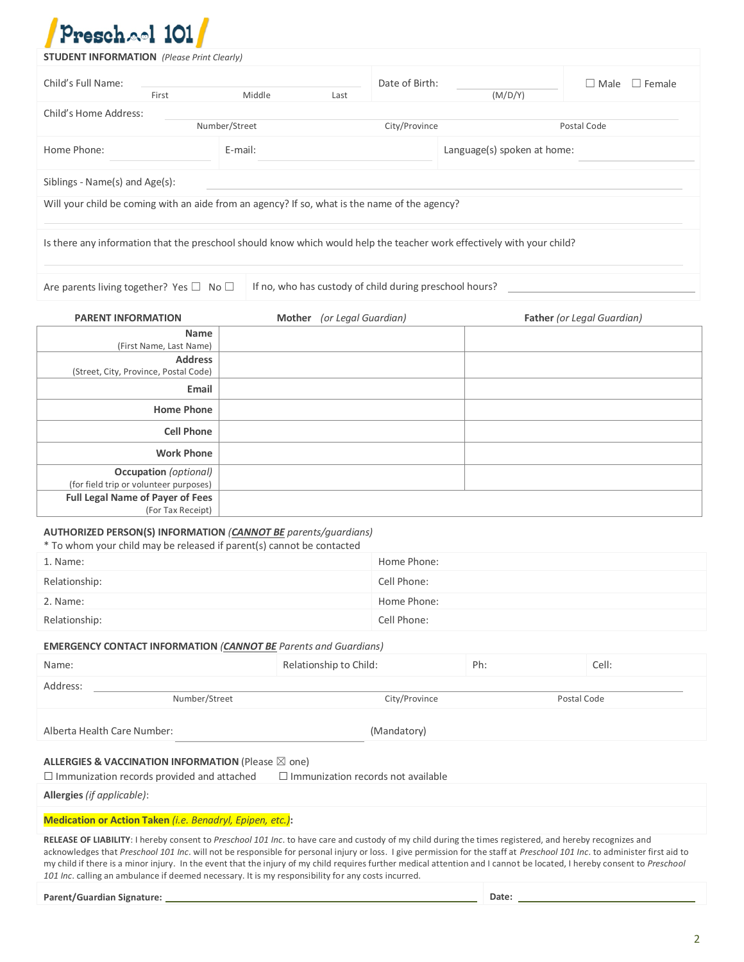

| Preschael 101                                                                                                          |               |                                                         |                |                             |                              |  |  |
|------------------------------------------------------------------------------------------------------------------------|---------------|---------------------------------------------------------|----------------|-----------------------------|------------------------------|--|--|
| <b>STUDENT INFORMATION</b> (Please Print Clearly)                                                                      |               |                                                         |                |                             |                              |  |  |
| Child's Full Name:                                                                                                     |               |                                                         | Date of Birth: |                             | $\Box$ Female<br>$\Box$ Male |  |  |
| First<br>Child's Home Address:                                                                                         | Middle        | Last                                                    |                | (M/D/Y)                     |                              |  |  |
|                                                                                                                        | Number/Street |                                                         | City/Province  |                             | Postal Code                  |  |  |
| Home Phone:                                                                                                            | E-mail:       |                                                         |                | Language(s) spoken at home: |                              |  |  |
| Siblings - Name(s) and Age(s):                                                                                         |               |                                                         |                |                             |                              |  |  |
| Will your child be coming with an aide from an agency? If so, what is the name of the agency?                          |               |                                                         |                |                             |                              |  |  |
| Is there any information that the preschool should know which would help the teacher work effectively with your child? |               |                                                         |                |                             |                              |  |  |
| Are parents living together? Yes □ No □                                                                                |               | If no, who has custody of child during preschool hours? |                |                             |                              |  |  |
| <b>PARENT INFORMATION</b>                                                                                              |               | Mother (or Legal Guardian)                              |                |                             | Father (or Legal Guardian)   |  |  |
| <b>Name</b><br>(First Name, Last Name)                                                                                 |               |                                                         |                |                             |                              |  |  |
| <b>Address</b>                                                                                                         |               |                                                         |                |                             |                              |  |  |
| (Street, City, Province, Postal Code)                                                                                  |               |                                                         |                |                             |                              |  |  |
| Email                                                                                                                  |               |                                                         |                |                             |                              |  |  |
| <b>Home Phone</b>                                                                                                      |               |                                                         |                |                             |                              |  |  |
| <b>Cell Phone</b>                                                                                                      |               |                                                         |                |                             |                              |  |  |
| <b>Work Phone</b>                                                                                                      |               |                                                         |                |                             |                              |  |  |
| <b>Occupation</b> (optional)                                                                                           |               |                                                         |                |                             |                              |  |  |
| (for field trip or volunteer purposes)<br><b>Full Legal Name of Payer of Fees</b>                                      |               |                                                         |                |                             |                              |  |  |
| (For Tax Receipt)<br>AUTHORIZED PERSON(S) INFORMATION (CANNOT BE parents/guardians)                                    |               |                                                         |                |                             |                              |  |  |
| * To whom your child may be released if parent(s) cannot be contacted                                                  |               |                                                         |                |                             |                              |  |  |
| 1. Name:                                                                                                               |               | Home Phone:                                             |                |                             |                              |  |  |
| Relationship:                                                                                                          |               | Cell Phone:                                             |                |                             |                              |  |  |
| 2. Name:                                                                                                               |               | Home Phone:                                             |                |                             |                              |  |  |
| Relationship:                                                                                                          |               |                                                         | Cell Phone:    |                             |                              |  |  |
| <b>EMERGENCY CONTACT INFORMATION (CANNOT BE Parents and Guardians)</b>                                                 |               |                                                         |                |                             |                              |  |  |
| Name:                                                                                                                  |               | Relationship to Child:                                  |                | Ph:                         | Cell:                        |  |  |
| Address:                                                                                                               |               |                                                         |                |                             |                              |  |  |
| Number/Street                                                                                                          |               |                                                         | City/Province  |                             | Postal Code                  |  |  |

Alberta Health Care Number: (Mandatory)

### **ALLERGIES & VACCINATION INFORMATION** (Please ⊠ one)

☐ Immunization records provided and attached ☐ Immunization records not available

**Allergies** *(if applicable)*:

**Medication or Action Taken** *(i.e. Benadryl, Epipen, etc.)***:**

**RELEASE OF LIABILITY**: I hereby consent to *Preschool 101 Inc*. to have care and custody of my child during the times registered, and hereby recognizes and acknowledges that *Preschool 101 Inc*. will not be responsible for personal injury or loss. I give permission for the staff at *Preschool 101 Inc*. to administer first aid to my child if there is a minor injury. In the event that the injury of my child requires further medical attention and I cannot be located, I hereby consent to *Preschool 101 Inc*. calling an ambulance if deemed necessary. It is my responsibility for any costs incurred.

**Parent/Guardian Signature: Date:**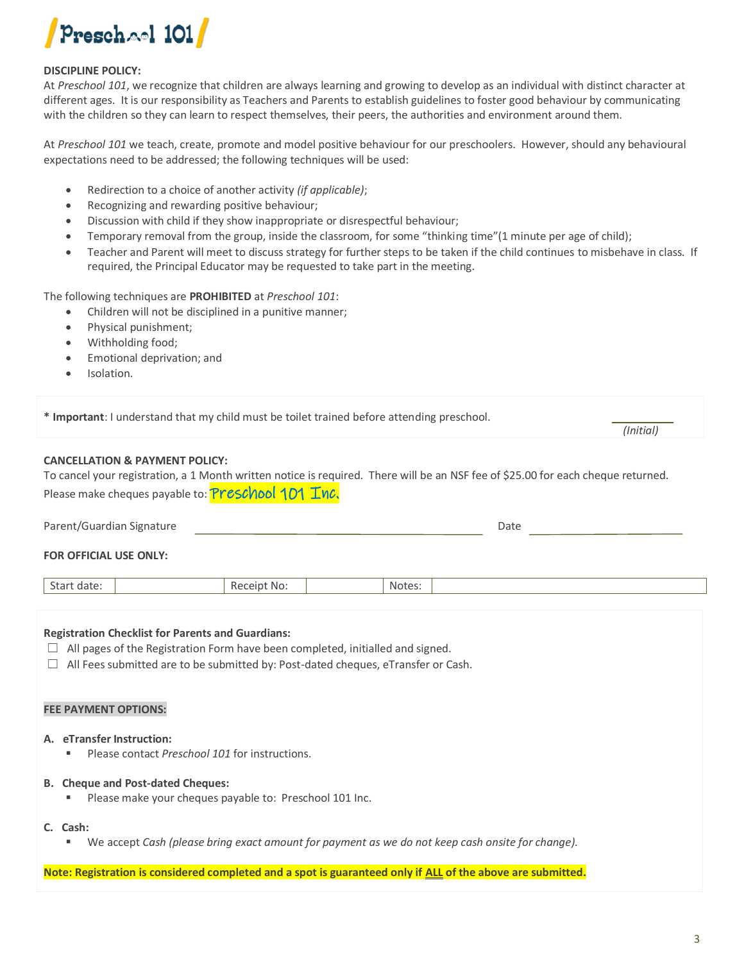

### **DISCIPLINE POLICY:**

At *Preschool 101*, we recognize that children are always learning and growing to develop as an individual with distinct character at different ages. It is our responsibility as Teachers and Parents to establish guidelines to foster good behaviour by communicating with the children so they can learn to respect themselves, their peers, the authorities and environment around them.

At *Preschool 101* we teach, create, promote and model positive behaviour for our preschoolers. However, should any behavioural expectations need to be addressed; the following techniques will be used:

- Redirection to a choice of another activity *(if applicable)*;
- Recognizing and rewarding positive behaviour;
- Discussion with child if they show inappropriate or disrespectful behaviour;
- Temporary removal from the group, inside the classroom, for some "thinking time"(1 minute per age of child);
- Teacher and Parent will meet to discuss strategy for further steps to be taken if the child continues to misbehave in class. If required, the Principal Educator may be requested to take part in the meeting.

The following techniques are **PROHIBITED** at *Preschool 101*:

- Children will not be disciplined in a punitive manner;
- Physical punishment;
- Withholding food;
- Emotional deprivation; and
- Isolation.

**\* Important**: I understand that my child must be toilet trained before attending preschool.

### **CANCELLATION & PAYMENT POLICY:**

To cancel your registration, a 1 Month written notice is required. There will be an NSF fee of \$25.00 for each cheque returned. Please make cheques payable to: **Preschool 101 Inc.** 

| Parent/Guardian Signature | Date |  |
|---------------------------|------|--|
| FOR OFFICIAL USE ONLY:    |      |  |

| $\sim$<br>Start<br>. date: | Receipt No: | Notes: |  |
|----------------------------|-------------|--------|--|
|                            |             |        |  |

#### **Registration Checklist for Parents and Guardians:**

 $\Box$  All pages of the Registration Form have been completed, initialled and signed.

 $\Box$  All Fees submitted are to be submitted by: Post-dated cheques, eTransfer or Cash.

#### **FEE PAYMENT OPTIONS:**

- **A. eTransfer Instruction:**
	- Please contact *Preschool 101* for instructions.

#### **B. Cheque and Post-dated Cheques:**

Please make your cheques payable to: Preschool 101 Inc.

#### **C. Cash:**

▪ We accept *Cash (please bring exact amount for payment as we do not keep cash onsite for change).*

**Note: Registration is considered completed and a spot is guaranteed only if ALL of the above are submitted.**

*(Initial)*